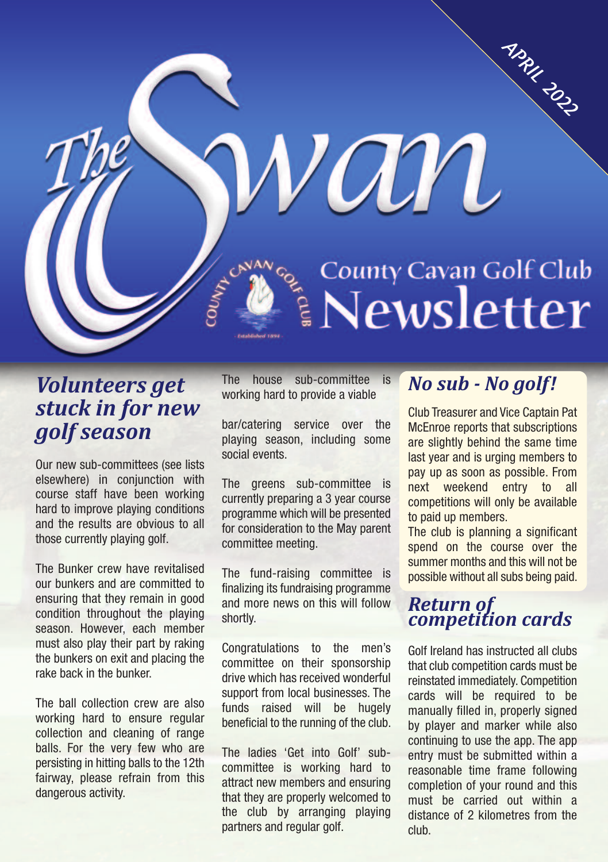# APRIL 2022 van County Cavan Golf Club

## *Volunteers get stuck in for new golf season*

Our new sub-committees (see lists elsewhere) in conjunction with course staff have been working hard to improve playing conditions and the results are obvious to all those currently playing golf.

The Bunker crew have revitalised our bunkers and are committed to ensuring that they remain in good condition throughout the playing season. However, each member must also play their part by raking the bunkers on exit and placing the rake back in the bunker.

The ball collection crew are also working hard to ensure regular collection and cleaning of range balls. For the very few who are persisting in hitting balls to the 12th fairway, please refrain from this dangerous activity.

The house sub-committee is working hard to provide a viable

bar/catering service over the playing season, including some social events.

The greens sub-committee is currently preparing a 3 year course programme which will be presented for consideration to the May parent committee meeting.

The fund-raising committee is finalizing its fundraising programme and more news on this will follow shortly.

Congratulations to the men's committee on their sponsorship drive which has received wonderful support from local businesses. The funds raised will be hugely beneficial to the running of the club.

The ladies 'Get into Golf' subcommittee is working hard to attract new members and ensuring that they are properly welcomed to the club by arranging playing partners and regular golf.

## *No sub - No golf!*

Club Treasurer and Vice Captain Pat McEnroe reports that subscriptions are slightly behind the same time last year and is urging members to pay up as soon as possible. From next weekend entry to all competitions will only be available to paid up members.

The club is planning a significant spend on the course over the summer months and this will not be possible without all subs being paid.

### *Return of competition cards*

Golf Ireland has instructed all clubs that club competition cards must be reinstated immediately. Competition cards will be required to be manually filled in, properly signed by player and marker while also continuing to use the app. The app entry must be submitted within a reasonable time frame following completion of your round and this must be carried out within a distance of 2 kilometres from the club.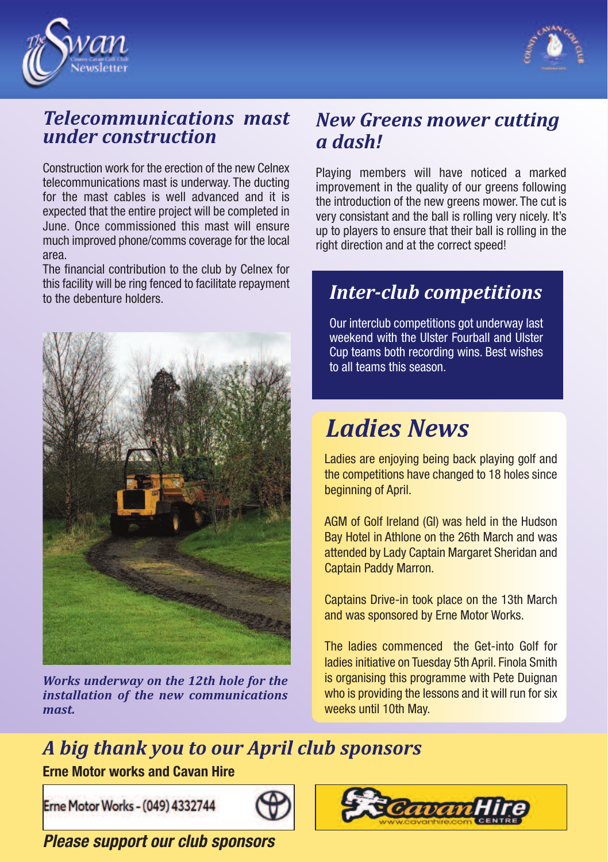



## *Telecommunications mast under construction*

Construction work for the erection of the new Celnex telecommunications mast is underway. The ducting for the mast cables is well advanced and it is expected that the entire project will be completed in June. Once commissioned this mast will ensure much improved phone/comms coverage for the local area.

The financial contribution to the club by Celnex for this facility will be ring fenced to facilitate repayment to the debenture holders.



*Works underway on the 12th hole for the installation of the new communications mast.*

## *New Greens mower cutting a dash!*

Playing members will have noticed a marked improvement in the quality of our greens following the introduction of the new greens mower. The cut is very consistant and the ball is rolling very nicely. It's up to players to ensure that their ball is rolling in the right direction and at the correct speed!

## *Inter-club competitions*

Our interclub competitions got underway last weekend with the Ulster Fourball and Ulster Cup teams both recording wins. Best wishes to all teams this season.

# *Ladies News*

Ladies are enjoying being back playing golf and the competitions have changed to 18 holes since beginning of April.

AGM of Golf Ireland (GI) was held in the Hudson Bay Hotel in Athlone on the 26th March and was attended by Lady Captain Margaret Sheridan and Captain Paddy Marron.

Captains Drive-in took place on the 13th March and was sponsored by Erne Motor Works.

The ladies commenced the Get-into Golf for ladies initiative on Tuesday 5th April. Finola Smith is organising this programme with Pete Duignan who is providing the lessons and it will run for six weeks until 10th May.

# *A big thank you to our April club sponsors*

**Erne Motor works and Cavan Hire**

Erne Motor Works - (049) 4332744





*Please support our club sponsors*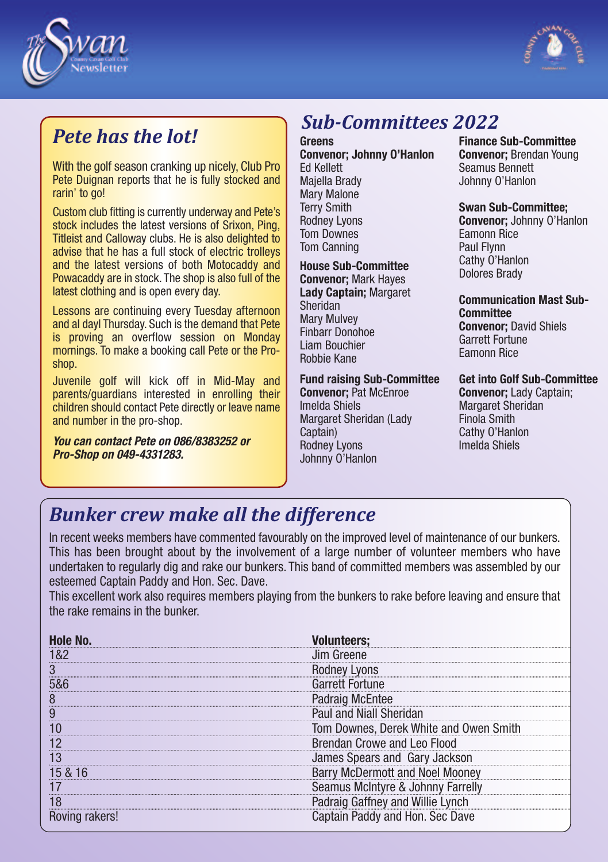



## *Pete has the lot!*

With the golf season cranking up nicely. Club Pro Pete Duignan reports that he is fully stocked and rarin' to go!

Custom club fitting is currently underway and Pete's stock includes the latest versions of Srixon, Ping, Titleist and Calloway clubs. He is also delighted to advise that he has a full stock of electric trolleys and the latest versions of both Motocaddy and Powacaddy are in stock. The shop is also full of the latest clothing and is open every day.

Lessons are continuing every Tuesday afternoon and al dayl Thursday. Such is the demand that Pete is proving an overflow session on Monday mornings. To make a booking call Pete or the Proshop.

Juvenile golf will kick off in Mid-May and parents/guardians interested in enrolling their children should contact Pete directly or leave name and number in the pro-shop.

*You can contact Pete on 086/8383252 or Pro-Shop on 049-4331283.*

# *Sub-Committees 2022*

**Greens Convenor; Johnny O'Hanlon** Ed Kellett Majella Brady Mary Malone Terry Smith Rodney Lyons Tom Downes Tom Canning

#### **House Sub-Committee**

**Convenor;** Mark Hayes **Lady Captain;** Margaret Sheridan Mary Mulvey Finbarr Donohoe Liam Bouchier Robbie Kane

#### **Fund raising Sub-Committee**

**Convenor;** Pat McEnroe Imelda Shiels Margaret Sheridan (Lady Captain) Rodney Lyons Johnny O'Hanlon

**Finance Sub-Committee Convenor;** Brendan Young Seamus Bennett Johnny O'Hanlon

#### **Swan Sub-Committee;**

**Convenor;** Johnny O'Hanlon Eamonn Rice Paul Flynn Cathy O'Hanlon Dolores Brady

#### **Communication Mast Sub-Committee Convenor;** David Shiels Garrett Fortune Eamonn Rice

**Get into Golf Sub-Committee Convenor;** Lady Captain;

Margaret Sheridan Finola Smith Cathy O'Hanlon Imelda Shiels

## *Bunker crew make all the difference*

In recent weeks members have commented favourably on the improved level of maintenance of our bunkers. This has been brought about by the involvement of a large number of volunteer members who have undertaken to regularly dig and rake our bunkers. This band of committed members was assembled by our esteemed Captain Paddy and Hon. Sec. Dave.

This excellent work also requires members playing from the bunkers to rake before leaving and ensure that the rake remains in the bunker.

|   | lim Greene                             |
|---|----------------------------------------|
|   | .vons                                  |
|   | <b>Garrett Fortune</b>                 |
| Ω | <b>Padraig McEntee</b>                 |
| ų | Paul and Niall Sheridan                |
|   | Tom Downes, Derek White and Owen S     |
|   | rendan Crowe and Leo Flood             |
|   | James Spears and Gary Jackson          |
|   | <b>Barry McDermott and Noel Mooney</b> |
|   | Seamus McIntyre & Johnny Farrelly      |
|   | draig Gaffney and Willie Lynch         |
|   | tain Paddy and Hon. Sec Dave           |